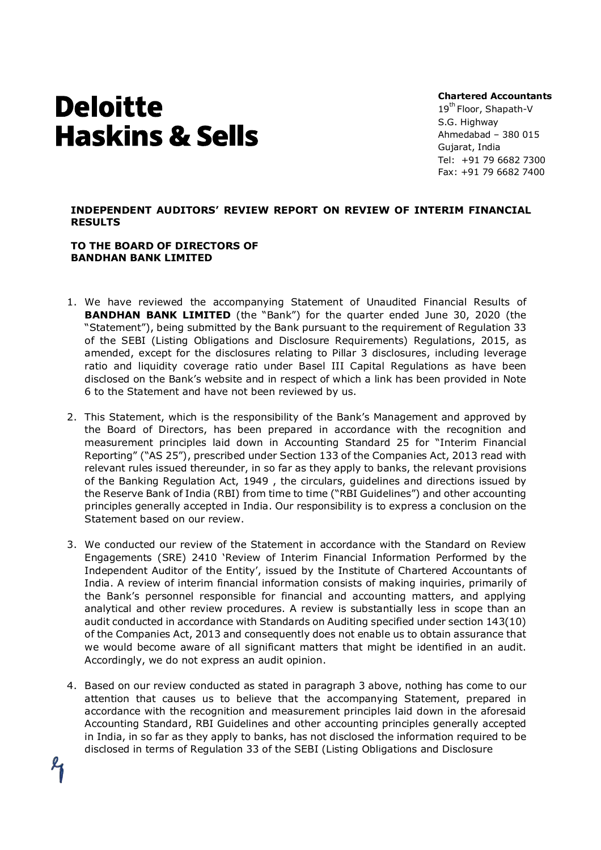# **Deloitte Haskins & Sells**

Chartered Accountants

19<sup>th</sup> Floor, Shapath-V S.G. Highway Ahmedabad – 380 015 Gujarat, India Tel: +91 79 6682 7300 Fax: +91 79 6682 7400

### INDEPENDENT AUDITORS' REVIEW REPORT ON REVIEW OF INTERIM FINANCIAL RESULTS

#### TO THE BOARD OF DIRECTORS OF BANDHAN BANK LIMITED

- 1. We have reviewed the accompanying Statement of Unaudited Financial Results of BANDHAN BANK LIMITED (the "Bank") for the quarter ended June 30, 2020 (the "Statement"), being submitted by the Bank pursuant to the requirement of Regulation 33 of the SEBI (Listing Obligations and Disclosure Requirements) Regulations, 2015, as amended, except for the disclosures relating to Pillar 3 disclosures, including leverage ratio and liquidity coverage ratio under Basel III Capital Regulations as have been disclosed on the Bank's website and in respect of which a link has been provided in Note 6 to the Statement and have not been reviewed by us.
- 2. This Statement, which is the responsibility of the Bank's Management and approved by the Board of Directors, has been prepared in accordance with the recognition and measurement principles laid down in Accounting Standard 25 for "Interim Financial Reporting" ("AS 25"), prescribed under Section 133 of the Companies Act, 2013 read with relevant rules issued thereunder, in so far as they apply to banks, the relevant provisions of the Banking Regulation Act, 1949 , the circulars, guidelines and directions issued by the Reserve Bank of India (RBI) from time to time ("RBI Guidelines") and other accounting principles generally accepted in India. Our responsibility is to express a conclusion on the Statement based on our review.
- 3. We conducted our review of the Statement in accordance with the Standard on Review Engagements (SRE) 2410 'Review of Interim Financial Information Performed by the Independent Auditor of the Entity', issued by the Institute of Chartered Accountants of India. A review of interim financial information consists of making inquiries, primarily of the Bank's personnel responsible for financial and accounting matters, and applying analytical and other review procedures. A review is substantially less in scope than an audit conducted in accordance with Standards on Auditing specified under section 143(10) of the Companies Act, 2013 and consequently does not enable us to obtain assurance that we would become aware of all significant matters that might be identified in an audit. Accordingly, we do not express an audit opinion.
- 4. Based on our review conducted as stated in paragraph 3 above, nothing has come to our attention that causes us to believe that the accompanying Statement, prepared in accordance with the recognition and measurement principles laid down in the aforesaid Accounting Standard, RBI Guidelines and other accounting principles generally accepted in India, in so far as they apply to banks, has not disclosed the information required to be disclosed in terms of Regulation 33 of the SEBI (Listing Obligations and Disclosure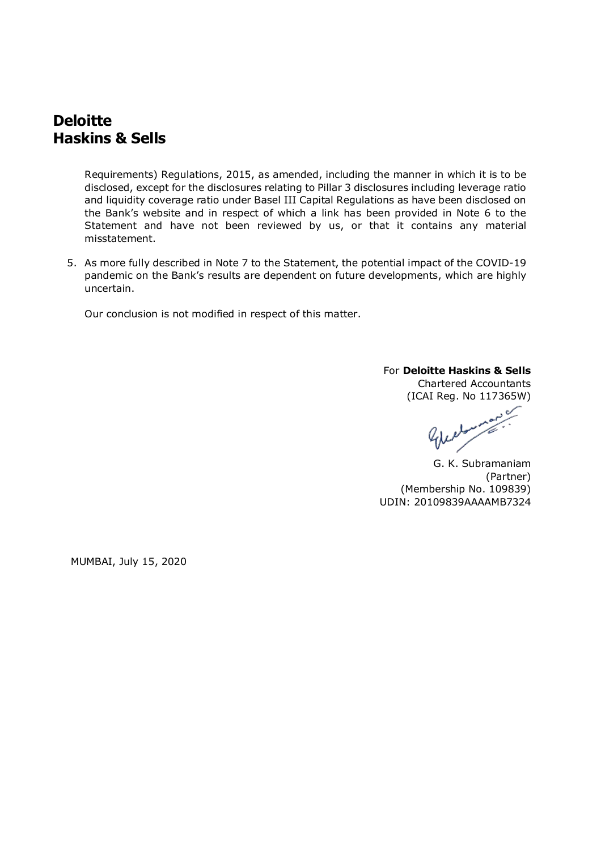# **Deloitte** Haskins & Sells

Requirements) Regulations, 2015, as amended, including the manner in which it is to be disclosed, except for the disclosures relating to Pillar 3 disclosures including leverage ratio and liquidity coverage ratio under Basel III Capital Regulations as have been disclosed on the Bank's website and in respect of which a link has been provided in Note 6 to the Statement and have not been reviewed by us, or that it contains any material misstatement.

5. As more fully described in Note 7 to the Statement, the potential impact of the COVID-19 pandemic on the Bank's results are dependent on future developments, which are highly uncertain.

Our conclusion is not modified in respect of this matter.

## For Deloitte Haskins & Sells

Chartered Accountants (ICAI Reg. No 117365W)

Managene

G. K. Subramaniam (Partner) (Membership No. 109839) UDIN: 20109839AAAAMB7324

MUMBAI, July 15, 2020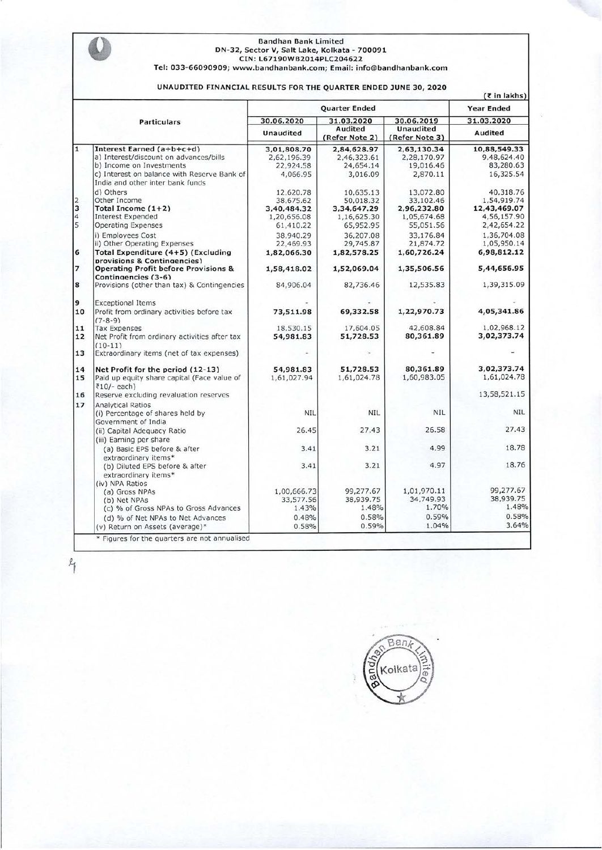# **Bandhan Bank Limited DN-32,** Sector **V, Salt Lake, Kolkata - 700091 CIN: L67190WB2014PLC204622 Tel: 033-66090909; www.bandhanbank.com; Email: info@bandhanbank.com**

#### **UNAUDITED FINANCIAL RESULTS FOR THE QUARTER ENDED JUNE 30, 2020**

*(<* **in lakhs)** 

|                    |                                                                                     | Quarter Ended            |                           |                                    | <b>Year Ended</b><br>31.03.2020 |
|--------------------|-------------------------------------------------------------------------------------|--------------------------|---------------------------|------------------------------------|---------------------------------|
| <b>Particulars</b> |                                                                                     | 30.06.2020<br>31.03.2020 |                           | 30.06.2019                         |                                 |
|                    |                                                                                     | <b>Unaudited</b>         | Audited<br>(Refer Note 2) | <b>Unaudited</b><br>(Refer Note 3) | Audited                         |
| $\overline{1}$     | Interest Earned (a+b+c+d)                                                           | 3,01,808.70              | 2,84,628.97               | 2,63,130.34                        | 10,88,549.33                    |
|                    | a) Interest/discount on advances/bills                                              | 2,62,196.39              | 2,46,323.61               | 2,28,170.97                        | 9,48,624.40                     |
|                    | b) Income on Investments                                                            | 22,924.58                | 24,654.14                 | 19,016.46                          | 83,280.63                       |
|                    | c) Interest on balance with Reserve Bank of<br>India and other inter bank funds     | 4,066.95                 | 3,016.09                  | 2,870.11                           | 16,325.54                       |
|                    | d) Others                                                                           | 12,620.78                | 10,635.13                 | 13,072.80                          | 40,318.76                       |
| $\frac{2}{3}$      | Other Income                                                                        | 38,675.62                | 50,018.32                 | 33,102.46                          | 1,54,919.74                     |
|                    | Total Income $(1+2)$                                                                | 3,40,484.32              | 3,34,647.29               | 2,96,232.80                        | 12,43,469.07                    |
| $\overline{4}$     | <b>Interest Expended</b>                                                            | 1,20,656.08              | 1,16,625.30               | 1,05,674.68                        | 4,56,157.90                     |
| $\overline{5}$     | <b>Operating Expenses</b>                                                           | 61,410.22                | 65,952.95                 | 55,051.56                          | 2,42,654.22                     |
|                    | i) Employees Cost                                                                   | 38,940.29                | 36,207.08                 | 33,176.84                          | 1,36,704.08                     |
|                    | ii) Other Operating Expenses                                                        | 22,469.93                | 29,745.87                 | 21,874.72                          | 1,05,950.14                     |
| 6                  | Total Expenditure (4+5) (Excluding<br>provisions & Contingencies)                   | 1,82,066.30              | 1,82,578.25               | 1,60,726.24                        | 6,98,812.12                     |
| $\overline{7}$     | <b>Operating Profit before Provisions &amp;</b><br>Contingencies (3-6)              | 1,58,418.02              | 1,52,069.04               | 1,35,506.56                        | 5,44,656.95                     |
| 8                  | Provisions (other than tax) & Contingencies                                         | 84,906.04                | 82,736.46                 | 12,535.83                          | 1,39,315.09                     |
| 9                  | <b>Exceptional Items</b>                                                            |                          |                           |                                    |                                 |
| 10                 | Profit from ordinary activities before tax<br>$(7-8-9)$                             | 73,511.98                | 69,332.58                 | 1,22,970.73                        | 4,05,341.86                     |
| 11                 | <b>Tax Expenses</b>                                                                 | 18,530.15                | 17,604.05                 | 42,608.84                          | 1,02,968.12                     |
| 12                 | Net Profit from ordinary activities after tax<br>$(10-11)$                          | 54,981.83                | 51,728.53                 | 80,361.89                          | 3,02,373.74                     |
| 13                 | Extraordinary items (net of tax expenses)                                           |                          |                           |                                    |                                 |
| 14                 | Net Profit for the period (12-13)                                                   | 54.981.83                | 51,728.53                 | 80,361.89                          | 3,02,373.74                     |
| 15                 | Paid up equity share capital (Face value of<br>$\overline{z}10/-$ each)             | 1,61,027.94              | 1,61,024.78               | 1,60,983.05                        | 1,61,024.78                     |
| 16                 | Reserve excluding revaluation reserves                                              |                          |                           |                                    | 13,58,521.15                    |
| 17                 | <b>Analytical Ratios</b><br>(i) Percentage of shares held by<br>Government of India | <b>NIL</b>               | <b>NIL</b>                | <b>NIL</b>                         | <b>NIL</b>                      |
|                    | (ii) Capital Adequacy Ratio<br>(iii) Earning per share                              | 26.45                    | 27.43                     | 26.58                              | 27.43                           |
|                    | (a) Basic EPS before & after<br>extraordinary items*                                | 3.41                     | 3.21                      | 4.99                               | 18.78                           |
|                    | (b) Diluted EPS before & after<br>extraordinary items*                              | 3.41                     | 3.21                      | 4.97                               | 18.76                           |
|                    | (iv) NPA Ratios                                                                     |                          |                           | 1,01,970.11                        | 99,277.67                       |
|                    | (a) Gross NPAs                                                                      | 1,00,666.73              | 99,277.67<br>38,939.75    | 34,749.93                          | 38,939.75                       |
|                    | (b) Net NPAs                                                                        | 33,577.56<br>1.43%       | 1.48%                     | 1.70%                              | 1.48%                           |
|                    | (c) % of Gross NPAs to Gross Advances                                               |                          |                           |                                    |                                 |
|                    | (d) % of Net NPAs to Net Advances                                                   | 0.48%                    | 0.58%                     | 0.59%                              | 0.58%                           |
|                    | (v) Return on Assets (average)*                                                     | 0.58%                    | 0.59%                     | 1.04%                              | 3.64%                           |

 $\frac{1}{2}$ 

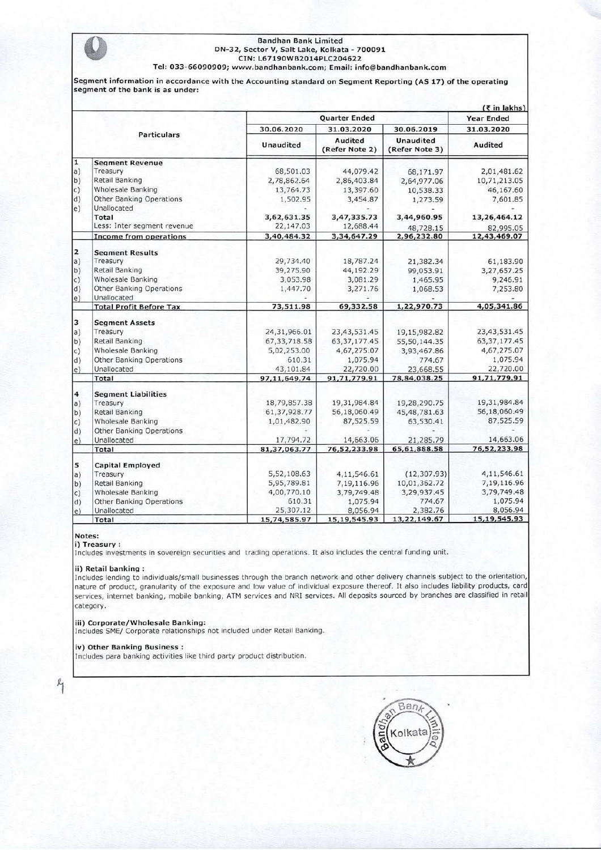#### Bandhan Bank Limited<br>
DN-32, Sector V, Salt Lake, Kolkata - 700091<br>
CIN: L67190WB2014PLC204622 **CIN: L67190WB2014PLC204622 Tel: 033-66090909; www.bandhanbank.com; Email: info@bandhanbank.com**

**Segment information in accordance with the Accounting standard on Segment Reporting (AS 17) of the operating segment of the bank is as under:** 

|                         | $($ ₹ in lakhs)                 |                  |                           |                                    |                          |  |  |
|-------------------------|---------------------------------|------------------|---------------------------|------------------------------------|--------------------------|--|--|
|                         |                                 | Quarter Ended    |                           |                                    | <b>Year Ended</b>        |  |  |
|                         |                                 | 30.06.2020       | 31.03.2020                | 30.06.2019                         | 31.03.2020               |  |  |
|                         | <b>Particulars</b>              | <b>Unaudited</b> | Audited<br>(Refer Note 2) | <b>Unaudited</b><br>(Refer Note 3) | Audited                  |  |  |
| π                       | <b>Segment Revenue</b>          |                  |                           |                                    |                          |  |  |
| a)                      | Treasury                        | 68,501.03        | 44,079.42                 | 68,171.97                          | 2,01,481.62              |  |  |
| b)                      | Retail Banking                  | 2,78,862.64      | 2,86,403.84               | 2,64,977.06                        | 10,71,213.05             |  |  |
| $\vert c)$              | Wholesale Banking               | 13,764.73        | 13,397.60                 | 10,538.33                          | 46,167.60                |  |  |
| d)                      | <b>Other Banking Operations</b> | 1,502.95         | 3,454.87                  | 1,273.59                           | 7,601.85                 |  |  |
| $\vert e \rangle$       | Unallocated                     |                  |                           |                                    |                          |  |  |
|                         | Total                           | 3,62,631.35      | 3,47,335.73               | 3,44,960.95                        | 13,26,464.12             |  |  |
|                         | Less: Inter segment revenue     | 22,147.03        | 12,688.44                 | 48,728.15                          | 82,995.05                |  |  |
|                         | <b>Income from operations</b>   | 3,40,484.32      | 3,34,647.29               | 2,96,232.80                        | 12,43,469.07             |  |  |
| $\overline{\mathbf{z}}$ | <b>Seament Results</b>          |                  |                           |                                    |                          |  |  |
| a)                      | Treasury                        | 29,734.40        | 18,787.24                 | 21,382.34                          | 61,183.90                |  |  |
| b)                      | Retail Banking                  | 39,275.90        | 44,192.29                 | 99,053.91                          | 3,27,657.25              |  |  |
| $\vert c)$              | Wholesale Banking               | 3,053.98         | 3,081.29                  | 1,465.95                           | 9,246.91                 |  |  |
| d)                      | Other Banking Operations        | 1,447.70         | 3,271.76                  | 1,068.53                           | 7,253.80                 |  |  |
| $\vert e)$              | Unallocated                     |                  |                           |                                    |                          |  |  |
|                         | <b>Total Profit Before Tax</b>  | 73,511.98        | 69,332.58                 | 1,22,970.73                        | 4,05,341.86              |  |  |
| 3                       | <b>Segment Assets</b>           |                  |                           |                                    |                          |  |  |
| a)                      | Treasury                        | 24,31,966.01     | 23,43,531.45              | 19,15,982.82                       | 23,43,531.45             |  |  |
| b)                      | Retail Banking                  | 67, 33, 718.58   | 63, 37, 177. 45           | 55,50,144.35                       | 63, 37, 177. 45          |  |  |
| c)                      | Wholesale Banking               | 5,02,253.00      | 4,67,275.07               | 3,93,467.86                        | 4,67,275.07              |  |  |
| d)                      | Other Banking Operations        | 610.31           | 1,075.94                  | 774.67                             | 1,075.94                 |  |  |
| e)                      | Unallocated                     | 43,101.84        | 22,720.00                 | 23,668.55                          | 22,720.00                |  |  |
|                         | Total                           | 97,11,649.74     | 91,71,779.91              | 78,84,038.25                       | 91,71,779.91             |  |  |
| $\overline{\mathbf{4}}$ | <b>Segment Liabilities</b>      |                  |                           |                                    |                          |  |  |
| a)                      | Treasury                        | 18,79,857.38     | 19,31,984.84              | 19,28,290.75                       | 19,31,984.84             |  |  |
| b)                      | Retail Banking                  | 61, 37, 928.77   | 56,18,060.49              | 45, 48, 781.63                     | 56,18,060.49             |  |  |
|                         | <b>Wholesale Banking</b>        | 1,01,482.90      | 87,525.59                 | 63,530.41                          | 87,525.59                |  |  |
| $\mathsf{c)}$<br>d)     | Other Banking Operations        |                  |                           |                                    |                          |  |  |
|                         | Unallocated                     | 17,794.72        | 14,663.06                 | 21,285.79                          | 14,663.06                |  |  |
| $\vert e)$              | Total                           | 81,37,063.77     | 76,52,233.98              | 65, 61, 888.58                     | 76,52,233.98             |  |  |
|                         |                                 |                  |                           |                                    |                          |  |  |
| 5                       | <b>Capital Employed</b>         |                  |                           |                                    |                          |  |  |
| a)                      | Treasury                        | 5,52,108.63      | 4,11,546.61               | (12, 307.93)                       | 4,11,546.61              |  |  |
| (b)                     | Retail Banking                  | 5,95,789.81      | 7,19,116.96               | 10,01,362.72                       | 7,19,116.96              |  |  |
| c)                      | Wholesale Banking               | 4,00,770.10      | 3,79,749.48               | 3,29,937.45                        | 3,79,749.48              |  |  |
| d)                      | Other Banking Operations        | 610.31           | 1,075.94                  | 774.67                             | 1,075.94                 |  |  |
| $\vert e \rangle$       | Unallocated                     | 25,307.12        | 8,056.94                  | 2,382.76                           | 8,056.94<br>15,19,545.93 |  |  |
|                         | Total                           | 15,74,585.97     | 15,19,545.93              | 13,22,149.67                       |                          |  |  |

#### **Notes:**

**1** 

**i) Treasury :** 

Includes investments in sovereign securities and trading operations. It also includes the central funding unit.

#### **ii) Retail banking :**

Includes lending to individuals/small businesses through the branch network and other delivery channels subject to the orientation, nature of product, granularity of the exposure and low value of individual exposure thereof. It also includes liability products, card services, internet banking, mobile banking, ATM services and NRI services. All deposits sourced by branches are classified in retail category.

**iii) Corporate/Wholesale Banking:**  Includes SME/ Corporate relationships not included under Retail Banking.

#### **iv) Other Banking Business :**

Includes para banking activities like third party product distribution.